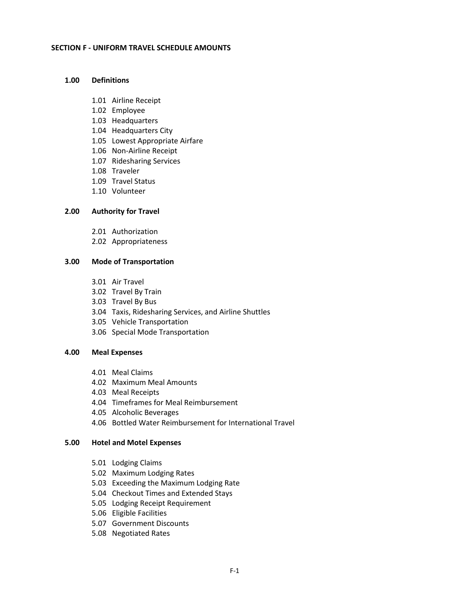## **SECTION F - UNIFORM TRAVEL SCHEDULE AMOUNTS**

## **1.00 Definitions**

- 1.01 Airline Receipt
- 1.02 Employee
- 1.03 Headquarters
- 1.04 Headquarters City
- 1.05 Lowest Appropriate Airfare
- 1.06 Non-Airline Receipt
- 1.07 Ridesharing Services
- 1.08 Traveler
- 1.09 Travel Status
- 1.10 Volunteer

## **2.00 Authority for Travel**

- 2.01 Authorization
- 2.02 Appropriateness

## **3.00 Mode of Transportation**

- 3.01 Air Travel
- 3.02 Travel By Train
- 3.03 Travel By Bus
- 3.04 Taxis, Ridesharing Services, and Airline Shuttles
- 3.05 Vehicle Transportation
- 3.06 Special Mode Transportation

## **4.00 Meal Expenses**

- 4.01 Meal Claims
- 4.02 Maximum Meal Amounts
- 4.03 Meal Receipts
- 4.04 Timeframes for Meal Reimbursement
- 4.05 Alcoholic Beverages
- 4.06 Bottled Water Reimbursement for International Travel

# **5.00 Hotel and Motel Expenses**

- 5.01 Lodging Claims
- 5.02 Maximum Lodging Rates
- 5.03 Exceeding the Maximum Lodging Rate
- 5.04 Checkout Times and Extended Stays
- 5.05 Lodging Receipt Requirement
- 5.06 Eligible Facilities
- 5.07 Government Discounts
- 5.08 Negotiated Rates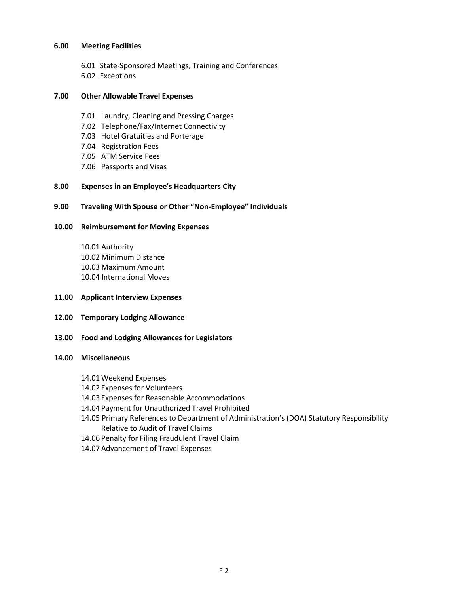## **6.00 Meeting Facilities**

- 6.01 State-Sponsored Meetings, Training and Conferences
- 6.02 Exceptions

# **7.00 Other Allowable Travel Expenses**

- 7.01 Laundry, Cleaning and Pressing Charges
- 7.02 Telephone/Fax/Internet Connectivity
- 7.03 Hotel Gratuities and Porterage
- 7.04 Registration Fees
- 7.05 ATM Service Fees
- 7.06 Passports and Visas

# **8.00 Expenses in an Employee's Headquarters City**

# **9.00 Traveling With Spouse or Other "Non-Employee" Individuals**

# **10.00 Reimbursement for Moving Expenses**

10.01 Authority 10.02 Minimum Distance 10.03 Maximum Amount 10.04 International Moves

- **11.00 Applicant Interview Expenses**
- **12.00 Temporary Lodging Allowance**
- **13.00 Food and Lodging Allowances for Legislators**

## **14.00 Miscellaneous**

- 14.01 Weekend Expenses
- 14.02 Expenses for Volunteers
- 14.03 Expenses for Reasonable Accommodations
- 14.04 Payment for Unauthorized Travel Prohibited
- 14.05 Primary References to Department of Administration's (DOA) Statutory Responsibility Relative to Audit of Travel Claims
- 14.06 Penalty for Filing Fraudulent Travel Claim
- 14.07 Advancement of Travel Expenses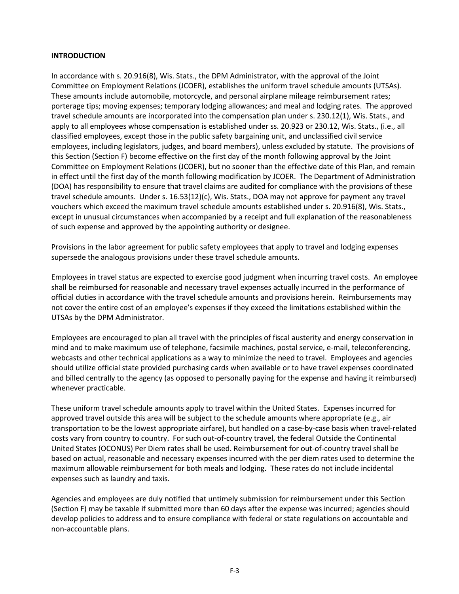## **INTRODUCTION**

In accordance with s. 20.916(8), Wis. Stats., the DPM Administrator, with the approval of the Joint Committee on Employment Relations (JCOER), establishes the uniform travel schedule amounts (UTSAs). These amounts include automobile, motorcycle, and personal airplane mileage reimbursement rates; porterage tips; moving expenses; temporary lodging allowances; and meal and lodging rates. The approved travel schedule amounts are incorporated into the compensation plan under s. 230.12(1), Wis. Stats., and apply to all employees whose compensation is established under ss. 20.923 or 230.12, Wis. Stats., (i.e., all classified employees, except those in the public safety bargaining unit, and unclassified civil service employees, including legislators, judges, and board members), unless excluded by statute. The provisions of this Section (Section F) become effective on the first day of the month following approval by the Joint Committee on Employment Relations (JCOER), but no sooner than the effective date of this Plan, and remain in effect until the first day of the month following modification by JCOER. The Department of Administration (DOA) has responsibility to ensure that travel claims are audited for compliance with the provisions of these travel schedule amounts. Under s. 16.53(12)(c), Wis. Stats., DOA may not approve for payment any travel vouchers which exceed the maximum travel schedule amounts established under s. 20.916(8), Wis. Stats., except in unusual circumstances when accompanied by a receipt and full explanation of the reasonableness of such expense and approved by the appointing authority or designee.

Provisions in the labor agreement for public safety employees that apply to travel and lodging expenses supersede the analogous provisions under these travel schedule amounts.

Employees in travel status are expected to exercise good judgment when incurring travel costs. An employee shall be reimbursed for reasonable and necessary travel expenses actually incurred in the performance of official duties in accordance with the travel schedule amounts and provisions herein. Reimbursements may not cover the entire cost of an employee's expenses if they exceed the limitations established within the UTSAs by the DPM Administrator.

Employees are encouraged to plan all travel with the principles of fiscal austerity and energy conservation in mind and to make maximum use of telephone, facsimile machines, postal service, e-mail, teleconferencing, webcasts and other technical applications as a way to minimize the need to travel. Employees and agencies should utilize official state provided purchasing cards when available or to have travel expenses coordinated and billed centrally to the agency (as opposed to personally paying for the expense and having it reimbursed) whenever practicable.

These uniform travel schedule amounts apply to travel within the United States. Expenses incurred for approved travel outside this area will be subject to the schedule amounts where appropriate (e.g., air transportation to be the lowest appropriate airfare), but handled on a case-by-case basis when travel-related costs vary from country to country. For such out-of-country travel, the federal Outside the Continental United States (OCONUS) Per Diem rates shall be used. Reimbursement for out-of-country travel shall be based on actual, reasonable and necessary expenses incurred with the per diem rates used to determine the maximum allowable reimbursement for both meals and lodging. These rates do not include incidental expenses such as laundry and taxis.

Agencies and employees are duly notified that untimely submission for reimbursement under this Section (Section F) may be taxable if submitted more than 60 days after the expense was incurred; agencies should develop policies to address and to ensure compliance with federal or state regulations on accountable and non-accountable plans.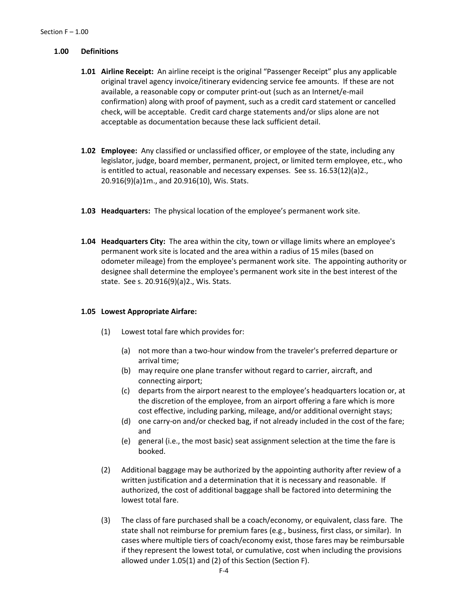## **1.00 Definitions**

- **1.01 Airline Receipt:** An airline receipt is the original "Passenger Receipt" plus any applicable original travel agency invoice/itinerary evidencing service fee amounts. If these are not available, a reasonable copy or computer print-out (such as an Internet/e-mail confirmation) along with proof of payment, such as a credit card statement or cancelled check, will be acceptable. Credit card charge statements and/or slips alone are not acceptable as documentation because these lack sufficient detail.
- **1.02 Employee:** Any classified or unclassified officer, or employee of the state, including any legislator, judge, board member, permanent, project, or limited term employee, etc., who is entitled to actual, reasonable and necessary expenses. See ss. 16.53(12)(a)2., 20.916(9)(a)1m., and 20.916(10), Wis. Stats.
- **1.03 Headquarters:** The physical location of the employee's permanent work site.
- **1.04 Headquarters City:** The area within the city, town or village limits where an employee's permanent work site is located and the area within a radius of 15 miles (based on odometer mileage) from the employee's permanent work site. The appointing authority or designee shall determine the employee's permanent work site in the best interest of the state. See s. 20.916(9)(a)2., Wis. Stats.

## **1.05 Lowest Appropriate Airfare:**

- (1) Lowest total fare which provides for:
	- (a) not more than a two-hour window from the traveler's preferred departure or arrival time;
	- (b) may require one plane transfer without regard to carrier, aircraft, and connecting airport;
	- (c) departs from the airport nearest to the employee's headquarters location or, at the discretion of the employee, from an airport offering a fare which is more cost effective, including parking, mileage, and/or additional overnight stays;
	- (d) one carry-on and/or checked bag, if not already included in the cost of the fare; and
	- (e) general (i.e., the most basic) seat assignment selection at the time the fare is booked.
- (2) Additional baggage may be authorized by the appointing authority after review of a written justification and a determination that it is necessary and reasonable. If authorized, the cost of additional baggage shall be factored into determining the lowest total fare.
- (3) The class of fare purchased shall be a coach/economy, or equivalent, class fare. The state shall not reimburse for premium fares (e.g., business, first class, or similar). In cases where multiple tiers of coach/economy exist, those fares may be reimbursable if they represent the lowest total, or cumulative, cost when including the provisions allowed under 1.05(1) and (2) of this Section (Section F).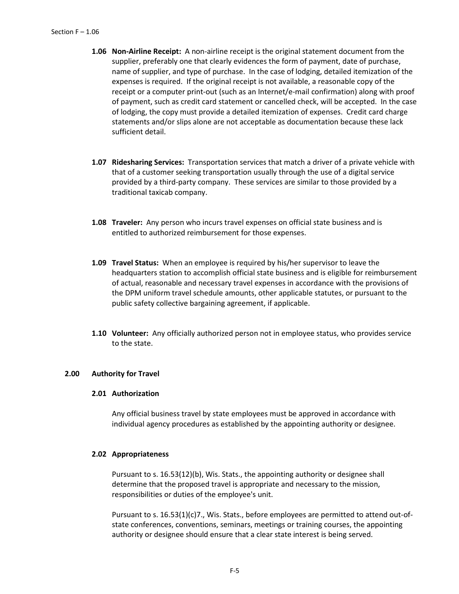- **1.06 Non-Airline Receipt:** A non-airline receipt is the original statement document from the supplier, preferably one that clearly evidences the form of payment, date of purchase, name of supplier, and type of purchase. In the case of lodging, detailed itemization of the expenses is required. If the original receipt is not available, a reasonable copy of the receipt or a computer print-out (such as an Internet/e-mail confirmation) along with proof of payment, such as credit card statement or cancelled check, will be accepted. In the case of lodging, the copy must provide a detailed itemization of expenses. Credit card charge statements and/or slips alone are not acceptable as documentation because these lack sufficient detail.
- **1.07 Ridesharing Services:** Transportation services that match a driver of a private vehicle with that of a customer seeking transportation usually through the use of a digital service provided by a third-party company. These services are similar to those provided by a traditional taxicab company.
- **1.08 Traveler:** Any person who incurs travel expenses on official state business and is entitled to authorized reimbursement for those expenses.
- **1.09 Travel Status:** When an employee is required by his/her supervisor to leave the headquarters station to accomplish official state business and is eligible for reimbursement of actual, reasonable and necessary travel expenses in accordance with the provisions of the DPM uniform travel schedule amounts, other applicable statutes, or pursuant to the public safety collective bargaining agreement, if applicable.
- **1.10 Volunteer:** Any officially authorized person not in employee status, who provides service to the state.

## **2.00 Authority for Travel**

## **2.01 Authorization**

Any official business travel by state employees must be approved in accordance with individual agency procedures as established by the appointing authority or designee.

## **2.02 Appropriateness**

Pursuant to s. 16.53(12)(b), Wis. Stats., the appointing authority or designee shall determine that the proposed travel is appropriate and necessary to the mission, responsibilities or duties of the employee's unit.

Pursuant to s. 16.53(1)(c)7., Wis. Stats., before employees are permitted to attend out-ofstate conferences, conventions, seminars, meetings or training courses, the appointing authority or designee should ensure that a clear state interest is being served.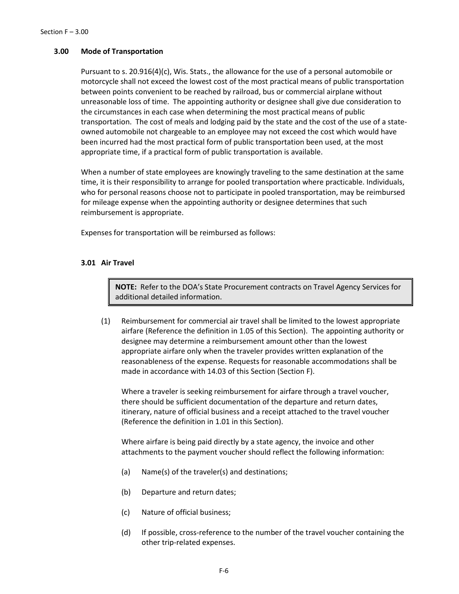## **3.00 Mode of Transportation**

Pursuant to s. 20.916(4)(c), Wis. Stats., the allowance for the use of a personal automobile or motorcycle shall not exceed the lowest cost of the most practical means of public transportation between points convenient to be reached by railroad, bus or commercial airplane without unreasonable loss of time. The appointing authority or designee shall give due consideration to the circumstances in each case when determining the most practical means of public transportation. The cost of meals and lodging paid by the state and the cost of the use of a stateowned automobile not chargeable to an employee may not exceed the cost which would have been incurred had the most practical form of public transportation been used, at the most appropriate time, if a practical form of public transportation is available.

When a number of state employees are knowingly traveling to the same destination at the same time, it is their responsibility to arrange for pooled transportation where practicable. Individuals, who for personal reasons choose not to participate in pooled transportation, may be reimbursed for mileage expense when the appointing authority or designee determines that such reimbursement is appropriate.

Expenses for transportation will be reimbursed as follows:

## **3.01 Air Travel**

**NOTE:** Refer to the DOA's State Procurement contracts on Travel Agency Services for additional detailed information.

(1) Reimbursement for commercial air travel shall be limited to the lowest appropriate airfare (Reference the definition in 1.05 of this Section). The appointing authority or designee may determine a reimbursement amount other than the lowest appropriate airfare only when the traveler provides written explanation of the reasonableness of the expense. Requests for reasonable accommodations shall be made in accordance with 14.03 of this Section (Section F).

Where a traveler is seeking reimbursement for airfare through a travel voucher, there should be sufficient documentation of the departure and return dates, itinerary, nature of official business and a receipt attached to the travel voucher (Reference the definition in 1.01 in this Section).

Where airfare is being paid directly by a state agency, the invoice and other attachments to the payment voucher should reflect the following information:

- (a) Name(s) of the traveler(s) and destinations;
- (b) Departure and return dates;
- (c) Nature of official business;
- (d) If possible, cross-reference to the number of the travel voucher containing the other trip-related expenses.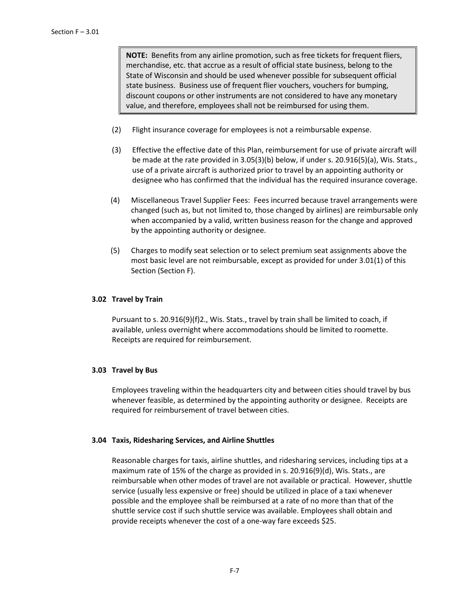**NOTE:** Benefits from any airline promotion, such as free tickets for frequent fliers, merchandise, etc. that accrue as a result of official state business, belong to the State of Wisconsin and should be used whenever possible for subsequent official state business. Business use of frequent flier vouchers, vouchers for bumping, discount coupons or other instruments are not considered to have any monetary value, and therefore, employees shall not be reimbursed for using them.

- (2) Flight insurance coverage for employees is not a reimbursable expense.
- (3) Effective the effective date of this Plan, reimbursement for use of private aircraft will be made at the rate provided in 3.05(3)(b) below, if under s. 20.916(5)(a), Wis. Stats., use of a private aircraft is authorized prior to travel by an appointing authority or designee who has confirmed that the individual has the required insurance coverage.
- (4) Miscellaneous Travel Supplier Fees: Fees incurred because travel arrangements were changed (such as, but not limited to, those changed by airlines) are reimbursable only when accompanied by a valid, written business reason for the change and approved by the appointing authority or designee.
- (5) Charges to modify seat selection or to select premium seat assignments above the most basic level are not reimbursable, except as provided for under 3.01(1) of this Section (Section F).

# **3.02 Travel by Train**

Pursuant to s. 20.916(9)(f)2., Wis. Stats., travel by train shall be limited to coach, if available, unless overnight where accommodations should be limited to roomette. Receipts are required for reimbursement.

# **3.03 Travel by Bus**

Employees traveling within the headquarters city and between cities should travel by bus whenever feasible, as determined by the appointing authority or designee. Receipts are required for reimbursement of travel between cities.

# **3.04 Taxis, Ridesharing Services, and Airline Shuttles**

Reasonable charges for taxis, airline shuttles, and ridesharing services, including tips at a maximum rate of 15% of the charge as provided in s. 20.916(9)(d), Wis. Stats., are reimbursable when other modes of travel are not available or practical. However, shuttle service (usually less expensive or free) should be utilized in place of a taxi whenever possible and the employee shall be reimbursed at a rate of no more than that of the shuttle service cost if such shuttle service was available. Employees shall obtain and provide receipts whenever the cost of a one-way fare exceeds \$25.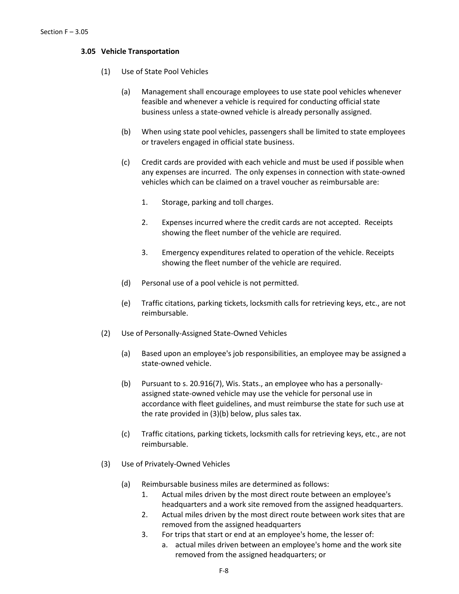## **3.05 Vehicle Transportation**

- (1) Use of State Pool Vehicles
	- (a) Management shall encourage employees to use state pool vehicles whenever feasible and whenever a vehicle is required for conducting official state business unless a state-owned vehicle is already personally assigned.
	- (b) When using state pool vehicles, passengers shall be limited to state employees or travelers engaged in official state business.
	- (c) Credit cards are provided with each vehicle and must be used if possible when any expenses are incurred. The only expenses in connection with state-owned vehicles which can be claimed on a travel voucher as reimbursable are:
		- 1. Storage, parking and toll charges.
		- 2. Expenses incurred where the credit cards are not accepted. Receipts showing the fleet number of the vehicle are required.
		- 3. Emergency expenditures related to operation of the vehicle. Receipts showing the fleet number of the vehicle are required.
	- (d) Personal use of a pool vehicle is not permitted.
	- (e) Traffic citations, parking tickets, locksmith calls for retrieving keys, etc., are not reimbursable.
- (2) Use of Personally-Assigned State-Owned Vehicles
	- (a) Based upon an employee's job responsibilities, an employee may be assigned a state-owned vehicle.
	- (b) Pursuant to s. 20.916(7), Wis. Stats., an employee who has a personallyassigned state-owned vehicle may use the vehicle for personal use in accordance with fleet guidelines, and must reimburse the state for such use at the rate provided in (3)(b) below, plus sales tax.
	- (c) Traffic citations, parking tickets, locksmith calls for retrieving keys, etc., are not reimbursable.
- (3) Use of Privately-Owned Vehicles
	- (a) Reimbursable business miles are determined as follows:
		- 1. Actual miles driven by the most direct route between an employee's headquarters and a work site removed from the assigned headquarters.
		- 2. Actual miles driven by the most direct route between work sites that are removed from the assigned headquarters
		- 3. For trips that start or end at an employee's home, the lesser of:
			- a. actual miles driven between an employee's home and the work site removed from the assigned headquarters; or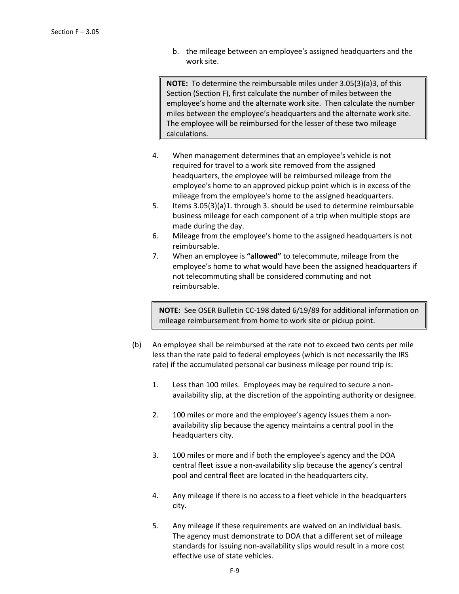b. the mileage between an employee's assigned headquarters and the work site.

**NOTE:** To determine the reimbursable miles under 3.05(3)(a)3, of this Section (Section F), first calculate the number of miles between the employee's home and the alternate work site. Then calculate the number miles between the employee's headquarters and the alternate work site. The employee will be reimbursed for the lesser of these two mileage calculations.

- 4. When management determines that an employee's vehicle is not required for travel to a work site removed from the assigned headquarters, the employee will be reimbursed mileage from the employee's home to an approved pickup point which is in excess of the mileage from the employee's home to the assigned headquarters.
- 5. Items 3.05(3)(a)1. through 3. should be used to determine reimbursable business mileage for each component of a trip when multiple stops are made during the day.
- 6. Mileage from the employee's home to the assigned headquarters is not reimbursable.
- 7. When an employee is **"allowed"** to telecommute, mileage from the employee's home to what would have been the assigned headquarters if not telecommuting shall be considered commuting and not reimbursable.

**NOTE:** See OSER Bulletin CC-198 dated 6/19/89 for additional information on mileage reimbursement from home to work site or pickup point.

- (b) An employee shall be reimbursed at the rate not to exceed two cents per mile less than the rate paid to federal employees (which is not necessarily the IRS rate) if the accumulated personal car business mileage per round trip is:
	- 1. Less than 100 miles. Employees may be required to secure a nonavailability slip, at the discretion of the appointing authority or designee.
	- 2. 100 miles or more and the employee's agency issues them a nonavailability slip because the agency maintains a central pool in the headquarters city.
	- 3. 100 miles or more and if both the employee's agency and the DOA central fleet issue a non-availability slip because the agency's central pool and central fleet are located in the headquarters city.
	- 4. Any mileage if there is no access to a fleet vehicle in the headquarters city.
	- 5. Any mileage if these requirements are waived on an individual basis. The agency must demonstrate to DOA that a different set of mileage standards for issuing non-availability slips would result in a more cost effective use of state vehicles.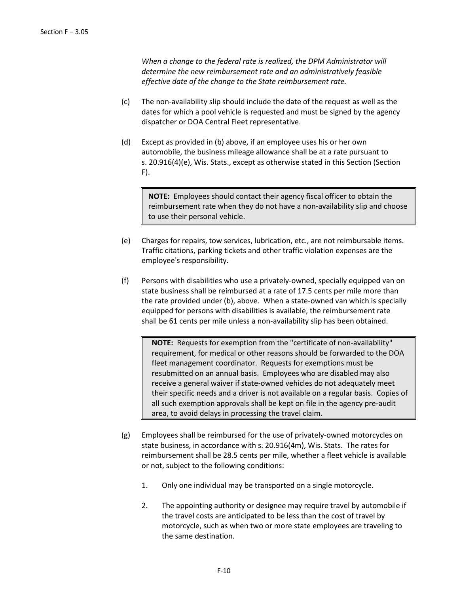*When a change to the federal rate is realized, the DPM Administrator will determine the new reimbursement rate and an administratively feasible effective date of the change to the State reimbursement rate.*

- (c) The non-availability slip should include the date of the request as well as the dates for which a pool vehicle is requested and must be signed by the agency dispatcher or DOA Central Fleet representative.
- (d) Except as provided in (b) above, if an employee uses his or her own automobile, the business mileage allowance shall be at a rate pursuant to s. 20.916(4)(e), Wis. Stats., except as otherwise stated in this Section (Section F).

**NOTE:** Employees should contact their agency fiscal officer to obtain the reimbursement rate when they do not have a non-availability slip and choose to use their personal vehicle.

- (e) Charges for repairs, tow services, lubrication, etc., are not reimbursable items. Traffic citations, parking tickets and other traffic violation expenses are the employee's responsibility.
- (f) Persons with disabilities who use a privately-owned, specially equipped van on state business shall be reimbursed at a rate of 17.5 cents per mile more than the rate provided under (b), above. When a state-owned van which is specially equipped for persons with disabilities is available, the reimbursement rate shall be 61 cents per mile unless a non-availability slip has been obtained.

**NOTE:** Requests for exemption from the "certificate of non-availability" requirement, for medical or other reasons should be forwarded to the DOA fleet management coordinator. Requests for exemptions must be resubmitted on an annual basis. Employees who are disabled may also receive a general waiver if state-owned vehicles do not adequately meet their specific needs and a driver is not available on a regular basis. Copies of all such exemption approvals shall be kept on file in the agency pre-audit area, to avoid delays in processing the travel claim.

- (g) Employees shall be reimbursed for the use of privately-owned motorcycles on state business, in accordance with s. 20.916(4m), Wis. Stats. The rates for reimbursement shall be 28.5 cents per mile, whether a fleet vehicle is available or not, subject to the following conditions:
	- 1. Only one individual may be transported on a single motorcycle.
	- 2. The appointing authority or designee may require travel by automobile if the travel costs are anticipated to be less than the cost of travel by motorcycle, such as when two or more state employees are traveling to the same destination.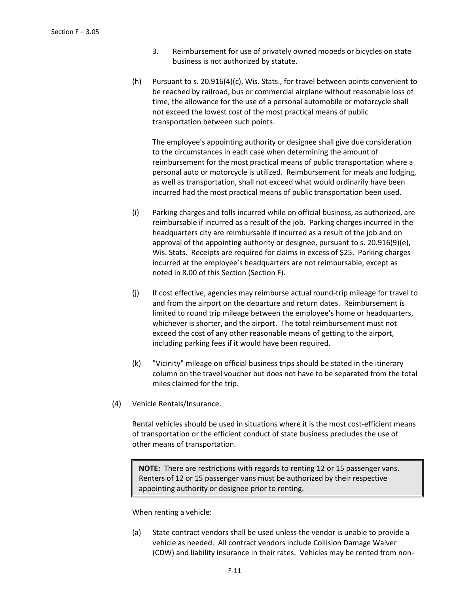- 3. Reimbursement for use of privately owned mopeds or bicycles on state business is not authorized by statute.
- (h) Pursuant to s. 20.916(4)(c), Wis. Stats., for travel between points convenient to be reached by railroad, bus or commercial airplane without reasonable loss of time, the allowance for the use of a personal automobile or motorcycle shall not exceed the lowest cost of the most practical means of public transportation between such points.

The employee's appointing authority or designee shall give due consideration to the circumstances in each case when determining the amount of reimbursement for the most practical means of public transportation where a personal auto or motorcycle is utilized. Reimbursement for meals and lodging, as well as transportation, shall not exceed what would ordinarily have been incurred had the most practical means of public transportation been used.

- (i) Parking charges and tolls incurred while on official business, as authorized, are reimbursable if incurred as a result of the job. Parking charges incurred in the headquarters city are reimbursable if incurred as a result of the job and on approval of the appointing authority or designee, pursuant to s. 20.916(9)(e), Wis. Stats. Receipts are required for claims in excess of \$25. Parking charges incurred at the employee's headquarters are not reimbursable, except as noted in 8.00 of this Section (Section F).
- (j) If cost effective, agencies may reimburse actual round-trip mileage for travel to and from the airport on the departure and return dates. Reimbursement is limited to round trip mileage between the employee's home or headquarters, whichever is shorter, and the airport. The total reimbursement must not exceed the cost of any other reasonable means of getting to the airport, including parking fees if it would have been required.
- (k) "Vicinity" mileage on official business trips should be stated in the itinerary column on the travel voucher but does not have to be separated from the total miles claimed for the trip.
- (4) Vehicle Rentals/Insurance.

Rental vehicles should be used in situations where it is the most cost-efficient means of transportation or the efficient conduct of state business precludes the use of other means of transportation.

**NOTE:** There are restrictions with regards to renting 12 or 15 passenger vans. Renters of 12 or 15 passenger vans must be authorized by their respective appointing authority or designee prior to renting.

When renting a vehicle:

(a) State contract vendors shall be used unless the vendor is unable to provide a vehicle as needed. All contract vendors include Collision Damage Waiver (CDW) and liability insurance in their rates. Vehicles may be rented from non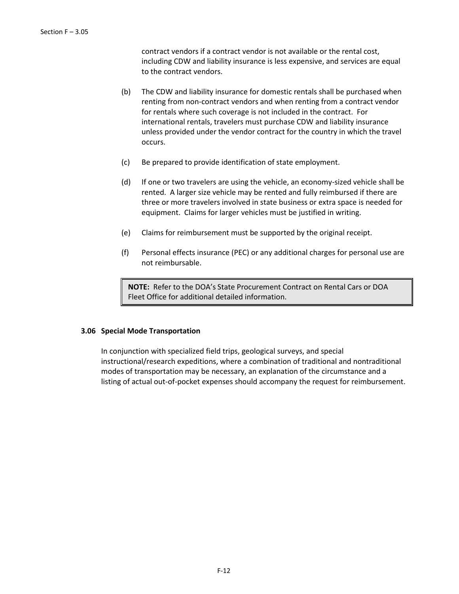contract vendors if a contract vendor is not available or the rental cost, including CDW and liability insurance is less expensive, and services are equal to the contract vendors.

- (b) The CDW and liability insurance for domestic rentals shall be purchased when renting from non-contract vendors and when renting from a contract vendor for rentals where such coverage is not included in the contract. For international rentals, travelers must purchase CDW and liability insurance unless provided under the vendor contract for the country in which the travel occurs.
- (c) Be prepared to provide identification of state employment.
- (d) If one or two travelers are using the vehicle, an economy-sized vehicle shall be rented. A larger size vehicle may be rented and fully reimbursed if there are three or more travelers involved in state business or extra space is needed for equipment. Claims for larger vehicles must be justified in writing.
- (e) Claims for reimbursement must be supported by the original receipt.
- (f) Personal effects insurance (PEC) or any additional charges for personal use are not reimbursable.

**NOTE:** Refer to the DOA's State Procurement Contract on Rental Cars or DOA Fleet Office for additional detailed information.

### **3.06 Special Mode Transportation**

In conjunction with specialized field trips, geological surveys, and special instructional/research expeditions, where a combination of traditional and nontraditional modes of transportation may be necessary, an explanation of the circumstance and a listing of actual out-of-pocket expenses should accompany the request for reimbursement.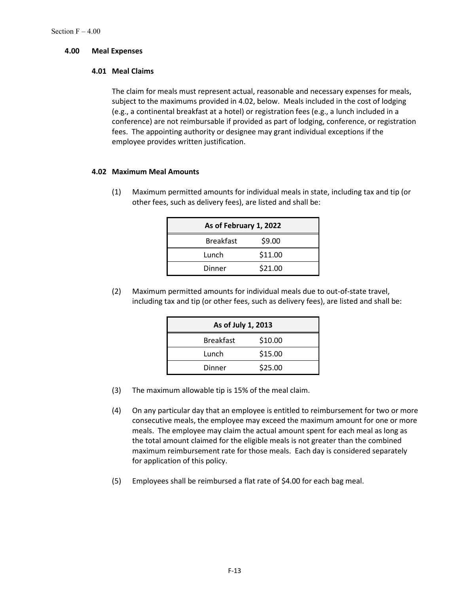## **4.00 Meal Expenses**

## **4.01 Meal Claims**

The claim for meals must represent actual, reasonable and necessary expenses for meals, subject to the maximums provided in 4.02, below. Meals included in the cost of lodging (e.g., a continental breakfast at a hotel) or registration fees (e.g., a lunch included in a conference) are not reimbursable if provided as part of lodging, conference, or registration fees. The appointing authority or designee may grant individual exceptions if the employee provides written justification.

# **4.02 Maximum Meal Amounts**

(1) Maximum permitted amounts for individual meals in state, including tax and tip (or other fees, such as delivery fees), are listed and shall be:

| As of February 1, 2022 |         |  |  |
|------------------------|---------|--|--|
| <b>Breakfast</b>       | \$9.00  |  |  |
| Lunch                  | \$11.00 |  |  |
| Dinner                 | \$21.00 |  |  |

(2) Maximum permitted amounts for individual meals due to out-of-state travel, including tax and tip (or other fees, such as delivery fees), are listed and shall be:

| As of July 1, 2013 |         |  |  |
|--------------------|---------|--|--|
| <b>Breakfast</b>   | \$10.00 |  |  |
| Lunch              | \$15.00 |  |  |
| Dinner             | \$25.00 |  |  |

- (3) The maximum allowable tip is 15% of the meal claim.
- (4) On any particular day that an employee is entitled to reimbursement for two or more consecutive meals, the employee may exceed the maximum amount for one or more meals. The employee may claim the actual amount spent for each meal as long as the total amount claimed for the eligible meals is not greater than the combined maximum reimbursement rate for those meals. Each day is considered separately for application of this policy.
- (5) Employees shall be reimbursed a flat rate of \$4.00 for each bag meal.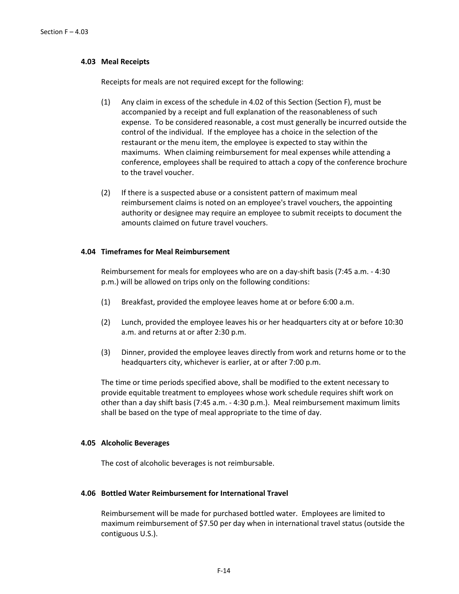## **4.03 Meal Receipts**

Receipts for meals are not required except for the following:

- (1) Any claim in excess of the schedule in 4.02 of this Section (Section F), must be accompanied by a receipt and full explanation of the reasonableness of such expense. To be considered reasonable, a cost must generally be incurred outside the control of the individual. If the employee has a choice in the selection of the restaurant or the menu item, the employee is expected to stay within the maximums. When claiming reimbursement for meal expenses while attending a conference, employees shall be required to attach a copy of the conference brochure to the travel voucher.
- (2) If there is a suspected abuse or a consistent pattern of maximum meal reimbursement claims is noted on an employee's travel vouchers, the appointing authority or designee may require an employee to submit receipts to document the amounts claimed on future travel vouchers.

## **4.04 Timeframes for Meal Reimbursement**

Reimbursement for meals for employees who are on a day-shift basis (7:45 a.m. - 4:30 p.m.) will be allowed on trips only on the following conditions:

- (1) Breakfast, provided the employee leaves home at or before 6:00 a.m.
- (2) Lunch, provided the employee leaves his or her headquarters city at or before 10:30 a.m. and returns at or after 2:30 p.m.
- (3) Dinner, provided the employee leaves directly from work and returns home or to the headquarters city, whichever is earlier, at or after 7:00 p.m.

The time or time periods specified above, shall be modified to the extent necessary to provide equitable treatment to employees whose work schedule requires shift work on other than a day shift basis (7:45 a.m. - 4:30 p.m.). Meal reimbursement maximum limits shall be based on the type of meal appropriate to the time of day.

#### **4.05 Alcoholic Beverages**

The cost of alcoholic beverages is not reimbursable.

### **4.06 Bottled Water Reimbursement for International Travel**

Reimbursement will be made for purchased bottled water. Employees are limited to maximum reimbursement of \$7.50 per day when in international travel status (outside the contiguous U.S.).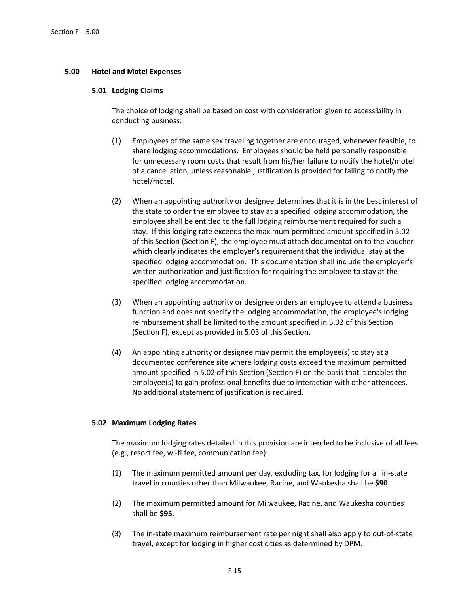# **5.00 Hotel and Motel Expenses**

# **5.01 Lodging Claims**

The choice of lodging shall be based on cost with consideration given to accessibility in conducting business:

- (1) Employees of the same sex traveling together are encouraged, whenever feasible, to share lodging accommodations. Employees should be held personally responsible for unnecessary room costs that result from his/her failure to notify the hotel/motel of a cancellation, unless reasonable justification is provided for failing to notify the hotel/motel.
- (2) When an appointing authority or designee determines that it is in the best interest of the state to order the employee to stay at a specified lodging accommodation, the employee shall be entitled to the full lodging reimbursement required for such a stay. If this lodging rate exceeds the maximum permitted amount specified in 5.02 of this Section (Section F), the employee must attach documentation to the voucher which clearly indicates the employer's requirement that the individual stay at the specified lodging accommodation. This documentation shall include the employer's written authorization and justification for requiring the employee to stay at the specified lodging accommodation.
- (3) When an appointing authority or designee orders an employee to attend a business function and does not specify the lodging accommodation, the employee's lodging reimbursement shall be limited to the amount specified in 5.02 of this Section (Section F), except as provided in 5.03 of this Section.
- (4) An appointing authority or designee may permit the employee(s) to stay at a documented conference site where lodging costs exceed the maximum permitted amount specified in 5.02 of this Section (Section F) on the basis that it enables the employee(s) to gain professional benefits due to interaction with other attendees. No additional statement of justification is required.

# **5.02 Maximum Lodging Rates**

The maximum lodging rates detailed in this provision are intended to be inclusive of all fees (e.g., resort fee, wi-fi fee, communication fee):

- (1) The maximum permitted amount per day, excluding tax, for lodging for all in-state travel in counties other than Milwaukee, Racine, and Waukesha shall be **\$90**.
- (2) The maximum permitted amount for Milwaukee, Racine, and Waukesha counties shall be **\$95**.
- (3) The in-state maximum reimbursement rate per night shall also apply to out-of-state travel, except for lodging in higher cost cities as determined by DPM.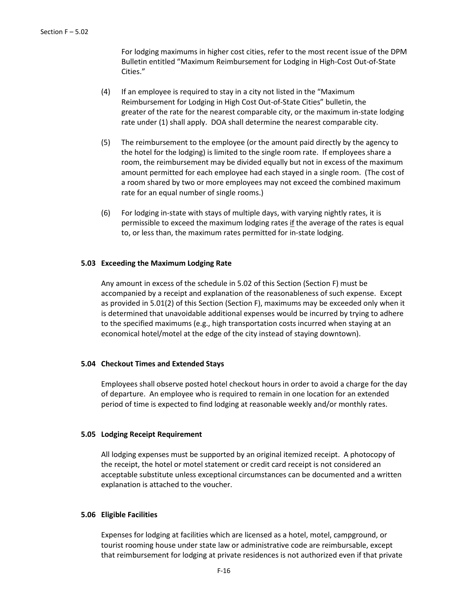For lodging maximums in higher cost cities, refer to the most recent issue of the DPM Bulletin entitled "Maximum Reimbursement for Lodging in High-Cost Out-of-State Cities."

- (4) If an employee is required to stay in a city not listed in the "Maximum Reimbursement for Lodging in High Cost Out-of-State Cities" bulletin, the greater of the rate for the nearest comparable city, or the maximum in-state lodging rate under (1) shall apply. DOA shall determine the nearest comparable city.
- (5) The reimbursement to the employee (or the amount paid directly by the agency to the hotel for the lodging) is limited to the single room rate. If employees share a room, the reimbursement may be divided equally but not in excess of the maximum amount permitted for each employee had each stayed in a single room. (The cost of a room shared by two or more employees may not exceed the combined maximum rate for an equal number of single rooms.)
- (6) For lodging in-state with stays of multiple days, with varying nightly rates, it is permissible to exceed the maximum lodging rates if the average of the rates is equal to, or less than, the maximum rates permitted for in-state lodging.

### **5.03 Exceeding the Maximum Lodging Rate**

Any amount in excess of the schedule in 5.02 of this Section (Section F) must be accompanied by a receipt and explanation of the reasonableness of such expense. Except as provided in 5.01(2) of this Section (Section F), maximums may be exceeded only when it is determined that unavoidable additional expenses would be incurred by trying to adhere to the specified maximums (e.g., high transportation costs incurred when staying at an economical hotel/motel at the edge of the city instead of staying downtown).

#### **5.04 Checkout Times and Extended Stays**

Employees shall observe posted hotel checkout hours in order to avoid a charge for the day of departure. An employee who is required to remain in one location for an extended period of time is expected to find lodging at reasonable weekly and/or monthly rates.

#### **5.05 Lodging Receipt Requirement**

All lodging expenses must be supported by an original itemized receipt. A photocopy of the receipt, the hotel or motel statement or credit card receipt is not considered an acceptable substitute unless exceptional circumstances can be documented and a written explanation is attached to the voucher.

#### **5.06 Eligible Facilities**

Expenses for lodging at facilities which are licensed as a hotel, motel, campground, or tourist rooming house under state law or administrative code are reimbursable, except that reimbursement for lodging at private residences is not authorized even if that private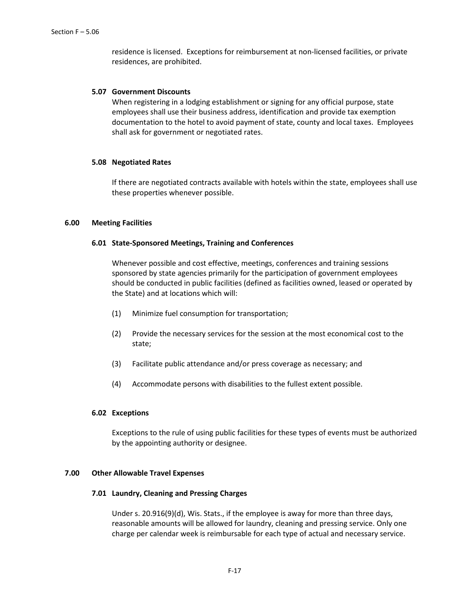residence is licensed. Exceptions for reimbursement at non-licensed facilities, or private residences, are prohibited.

## **5.07 Government Discounts**

When registering in a lodging establishment or signing for any official purpose, state employees shall use their business address, identification and provide tax exemption documentation to the hotel to avoid payment of state, county and local taxes. Employees shall ask for government or negotiated rates.

### **5.08 Negotiated Rates**

If there are negotiated contracts available with hotels within the state, employees shall use these properties whenever possible.

## **6.00 Meeting Facilities**

### **6.01 State-Sponsored Meetings, Training and Conferences**

Whenever possible and cost effective, meetings, conferences and training sessions sponsored by state agencies primarily for the participation of government employees should be conducted in public facilities (defined as facilities owned, leased or operated by the State) and at locations which will:

- (1) Minimize fuel consumption for transportation;
- (2) Provide the necessary services for the session at the most economical cost to the state;
- (3) Facilitate public attendance and/or press coverage as necessary; and
- (4) Accommodate persons with disabilities to the fullest extent possible.

### **6.02 Exceptions**

Exceptions to the rule of using public facilities for these types of events must be authorized by the appointing authority or designee.

#### **7.00 Other Allowable Travel Expenses**

#### **7.01 Laundry, Cleaning and Pressing Charges**

Under s. 20.916(9)(d), Wis. Stats., if the employee is away for more than three days, reasonable amounts will be allowed for laundry, cleaning and pressing service. Only one charge per calendar week is reimbursable for each type of actual and necessary service.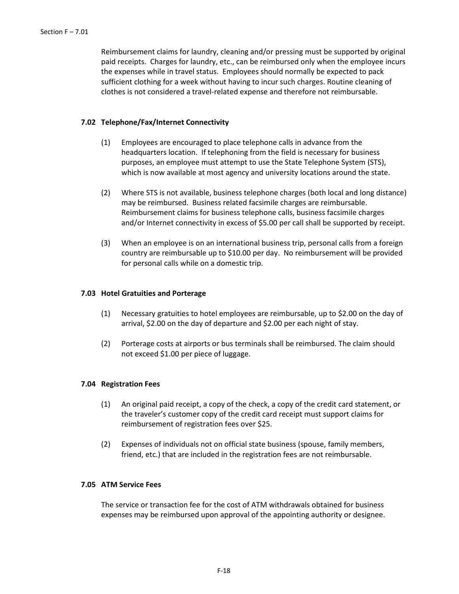Reimbursement claims for laundry, cleaning and/or pressing must be supported by original paid receipts. Charges for laundry, etc., can be reimbursed only when the employee incurs the expenses while in travel status. Employees should normally be expected to pack sufficient clothing for a week without having to incur such charges. Routine cleaning of clothes is not considered a travel-related expense and therefore not reimbursable.

## **7.02 Telephone/Fax/Internet Connectivity**

- (1) Employees are encouraged to place telephone calls in advance from the headquarters location. If telephoning from the field is necessary for business purposes, an employee must attempt to use the State Telephone System (STS), which is now available at most agency and university locations around the state.
- (2) Where STS is not available, business telephone charges (both local and long distance) may be reimbursed. Business related facsimile charges are reimbursable. Reimbursement claims for business telephone calls, business facsimile charges and/or Internet connectivity in excess of \$5.00 per call shall be supported by receipt.
- (3) When an employee is on an international business trip, personal calls from a foreign country are reimbursable up to \$10.00 per day. No reimbursement will be provided for personal calls while on a domestic trip.

### **7.03 Hotel Gratuities and Porterage**

- (1) Necessary gratuities to hotel employees are reimbursable, up to \$2.00 on the day of arrival, \$2.00 on the day of departure and \$2.00 per each night of stay.
- (2) Porterage costs at airports or bus terminals shall be reimbursed. The claim should not exceed \$1.00 per piece of luggage.

#### **7.04 Registration Fees**

- (1) An original paid receipt, a copy of the check, a copy of the credit card statement, or the traveler's customer copy of the credit card receipt must support claims for reimbursement of registration fees over \$25.
- (2) Expenses of individuals not on official state business (spouse, family members, friend, etc.) that are included in the registration fees are not reimbursable.

## **7.05 ATM Service Fees**

The service or transaction fee for the cost of ATM withdrawals obtained for business expenses may be reimbursed upon approval of the appointing authority or designee.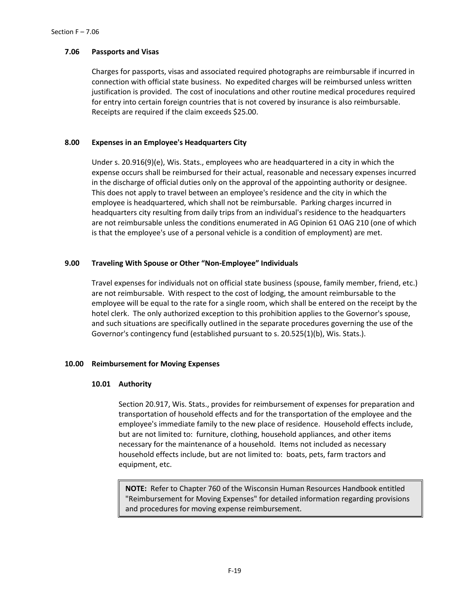# **7.06 Passports and Visas**

Charges for passports, visas and associated required photographs are reimbursable if incurred in connection with official state business. No expedited charges will be reimbursed unless written justification is provided. The cost of inoculations and other routine medical procedures required for entry into certain foreign countries that is not covered by insurance is also reimbursable. Receipts are required if the claim exceeds \$25.00.

# **8.00 Expenses in an Employee's Headquarters City**

Under s. 20.916(9)(e), Wis. Stats., employees who are headquartered in a city in which the expense occurs shall be reimbursed for their actual, reasonable and necessary expenses incurred in the discharge of official duties only on the approval of the appointing authority or designee. This does not apply to travel between an employee's residence and the city in which the employee is headquartered, which shall not be reimbursable. Parking charges incurred in headquarters city resulting from daily trips from an individual's residence to the headquarters are not reimbursable unless the conditions enumerated in AG Opinion 61 OAG 210 (one of which is that the employee's use of a personal vehicle is a condition of employment) are met.

# **9.00 Traveling With Spouse or Other "Non-Employee" Individuals**

Travel expenses for individuals not on official state business (spouse, family member, friend, etc.) are not reimbursable. With respect to the cost of lodging, the amount reimbursable to the employee will be equal to the rate for a single room, which shall be entered on the receipt by the hotel clerk. The only authorized exception to this prohibition applies to the Governor's spouse, and such situations are specifically outlined in the separate procedures governing the use of the Governor's contingency fund (established pursuant to s. 20.525(1)(b), Wis. Stats.).

# **10.00 Reimbursement for Moving Expenses**

# **10.01 Authority**

Section 20.917, Wis. Stats., provides for reimbursement of expenses for preparation and transportation of household effects and for the transportation of the employee and the employee's immediate family to the new place of residence. Household effects include, but are not limited to: furniture, clothing, household appliances, and other items necessary for the maintenance of a household. Items not included as necessary household effects include, but are not limited to: boats, pets, farm tractors and equipment, etc.

**NOTE:** Refer to Chapter 760 of the Wisconsin Human Resources Handbook entitled "Reimbursement for Moving Expenses" for detailed information regarding provisions and procedures for moving expense reimbursement.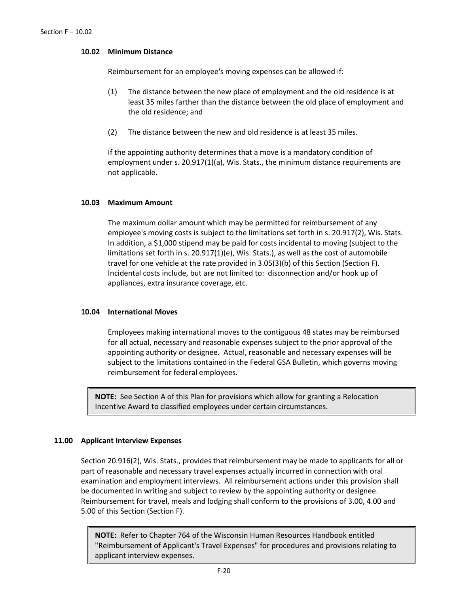## **10.02 Minimum Distance**

Reimbursement for an employee's moving expenses can be allowed if:

- (1) The distance between the new place of employment and the old residence is at least 35 miles farther than the distance between the old place of employment and the old residence; and
- (2) The distance between the new and old residence is at least 35 miles.

If the appointing authority determines that a move is a mandatory condition of employment under s. 20.917(1)(a), Wis. Stats., the minimum distance requirements are not applicable.

## **10.03 Maximum Amount**

The maximum dollar amount which may be permitted for reimbursement of any employee's moving costs is subject to the limitations set forth in s. 20.917(2), Wis. Stats. In addition, a \$1,000 stipend may be paid for costs incidental to moving (subject to the limitations set forth in s. 20.917(1)(e), Wis. Stats.), as well as the cost of automobile travel for one vehicle at the rate provided in 3.05(3)(b) of this Section (Section F). Incidental costs include, but are not limited to: disconnection and/or hook up of appliances, extra insurance coverage, etc.

## **10.04 International Moves**

Employees making international moves to the contiguous 48 states may be reimbursed for all actual, necessary and reasonable expenses subject to the prior approval of the appointing authority or designee. Actual, reasonable and necessary expenses will be subject to the limitations contained in the Federal GSA Bulletin, which governs moving reimbursement for federal employees.

**NOTE:** See Section A of this Plan for provisions which allow for granting a Relocation Incentive Award to classified employees under certain circumstances.

# **11.00 Applicant Interview Expenses**

Section 20.916(2), Wis. Stats., provides that reimbursement may be made to applicants for all or part of reasonable and necessary travel expenses actually incurred in connection with oral examination and employment interviews. All reimbursement actions under this provision shall be documented in writing and subject to review by the appointing authority or designee. Reimbursement for travel, meals and lodging shall conform to the provisions of 3.00, 4.00 and 5.00 of this Section (Section F).

**NOTE:** Refer to Chapter 764 of the Wisconsin Human Resources Handbook entitled "Reimbursement of Applicant's Travel Expenses" for procedures and provisions relating to applicant interview expenses.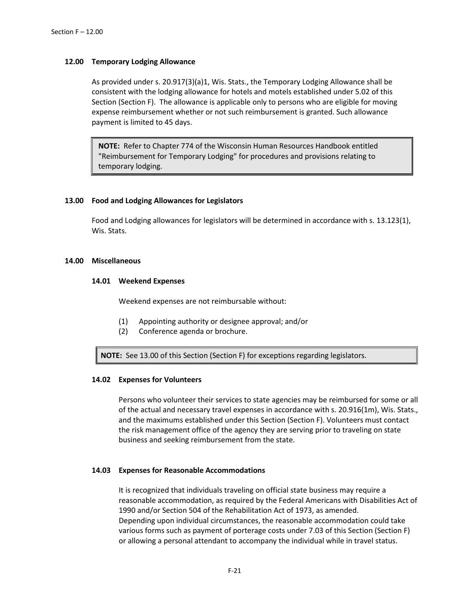## **12.00 Temporary Lodging Allowance**

As provided under s. 20.917(3)(a)1, Wis. Stats., the Temporary Lodging Allowance shall be consistent with the lodging allowance for hotels and motels established under 5.02 of this Section (Section F). The allowance is applicable only to persons who are eligible for moving expense reimbursement whether or not such reimbursement is granted. Such allowance payment is limited to 45 days.

**NOTE:** Refer to Chapter 774 of the Wisconsin Human Resources Handbook entitled "Reimbursement for Temporary Lodging" for procedures and provisions relating to temporary lodging.

### **13.00 Food and Lodging Allowances for Legislators**

Food and Lodging allowances for legislators will be determined in accordance with s. 13.123(1), Wis. Stats.

#### **14.00 Miscellaneous**

### **14.01 Weekend Expenses**

Weekend expenses are not reimbursable without:

- (1) Appointing authority or designee approval; and/or
- (2) Conference agenda or brochure.

**NOTE:** See 13.00 of this Section (Section F) for exceptions regarding legislators.

#### **14.02 Expenses for Volunteers**

Persons who volunteer their services to state agencies may be reimbursed for some or all of the actual and necessary travel expenses in accordance with s. 20.916(1m), Wis. Stats., and the maximums established under this Section (Section F). Volunteers must contact the risk management office of the agency they are serving prior to traveling on state business and seeking reimbursement from the state.

#### **14.03 Expenses for Reasonable Accommodations**

It is recognized that individuals traveling on official state business may require a reasonable accommodation, as required by the Federal Americans with Disabilities Act of 1990 and/or Section 504 of the Rehabilitation Act of 1973, as amended. Depending upon individual circumstances, the reasonable accommodation could take various forms such as payment of porterage costs under 7.03 of this Section (Section F) or allowing a personal attendant to accompany the individual while in travel status.